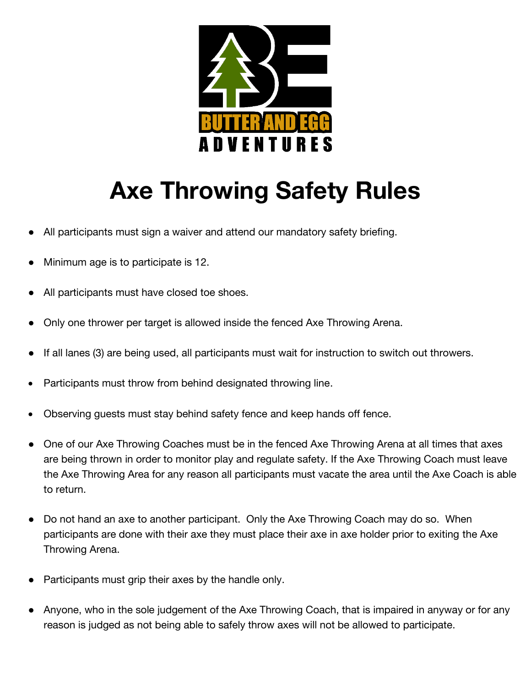

## **Axe Throwing Safety Rules**

- All participants must sign a waiver and attend our mandatory safety briefing.
- Minimum age is to participate is 12.
- All participants must have closed toe shoes.
- Only one thrower per target is allowed inside the fenced Axe Throwing Arena.
- If all lanes (3) are being used, all participants must wait for instruction to switch out throwers.
- Participants must throw from behind designated throwing line.
- Observing guests must stay behind safety fence and keep hands off fence.
- One of our Axe Throwing Coaches must be in the fenced Axe Throwing Arena at all times that axes are being thrown in order to monitor play and regulate safety. If the Axe Throwing Coach must leave the Axe Throwing Area for any reason all participants must vacate the area until the Axe Coach is able to return.
- Do not hand an axe to another participant. Only the Axe Throwing Coach may do so. When participants are done with their axe they must place their axe in axe holder prior to exiting the Axe Throwing Arena.
- Participants must grip their axes by the handle only.
- Anyone, who in the sole judgement of the Axe Throwing Coach, that is impaired in anyway or for any reason is judged as not being able to safely throw axes will not be allowed to participate.